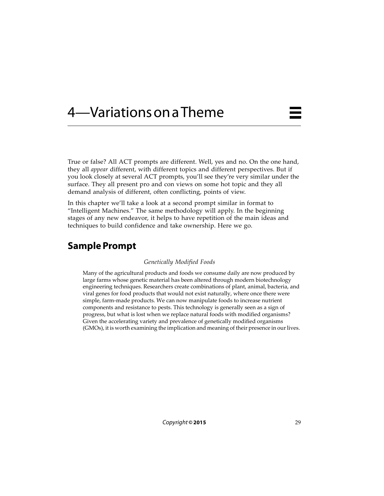# 4—Variations on a Theme

True or false? All ACT prompts are different. Well, yes and no. On the one hand, they all *appear* different, with different topics and different perspectives. But if you look closely at several ACT prompts, you'll see they're very similar under the surface. They all present pro and con views on some hot topic and they all demand analysis of different, often conflicting, points of view.

In this chapter we'll take a look at a second prompt similar in format to "Intelligent Machines." The same methodology will apply. In the beginning stages of any new endeavor, it helps to have repetition of the main ideas and techniques to build confidence and take ownership. Here we go.

## **Sample Prompt**

#### *Genetically Modified Foods*

Many of the agricultural products and foods we consume daily are now produced by large farms whose genetic material has been altered through modern biotechnology engineering techniques. Researchers create combinations of plant, animal, bacteria, and viral genes for food products that would not exist naturally, where once there were simple, farm-made products. We can now manipulate foods to increase nutrient components and resistance to pests. This technology is generally seen as a sign of progress, but what is lost when we replace natural foods with modified organisms? Given the accelerating variety and prevalence of genetically modified organisms (GMOs), it is worth examining the implication and meaning of their presence in ourlives.

Copyright **© 2015** 29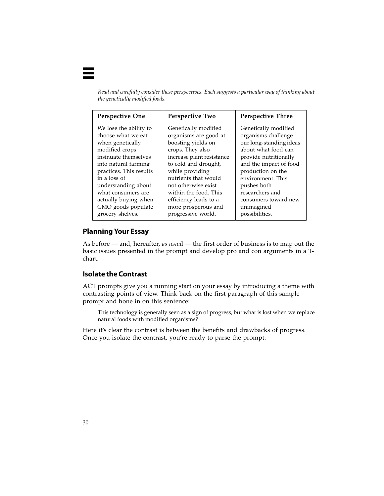

*Read and carefully consider these perspectives. Each suggests a particular way of thinking about the genetically modified foods.*

#### **Planning Your Essay**

As before ― and, hereafter, *as usua*l ― the first order of business is to map out the basic issues presented in the prompt and develop pro and con arguments in a T‐ chart.

#### **Isolate the Contrast**

ACT prompts give you a running start on your essay by introducing a theme with contrasting points of view. Think back on the first paragraph of this sample prompt and hone in on this sentence:

This technology is generally seen as a sign of progress, but what is lost when we replace natural foods with modified organisms?

Here it's clear the contrast is between the benefits and drawbacks of progress. Once you isolate the contrast, you're ready to parse the prompt.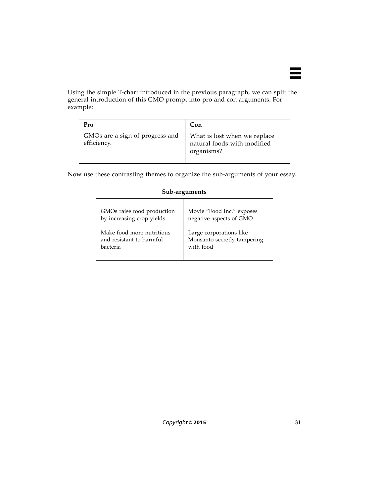Using the simple T‐chart introduced in the previous paragraph, we can split the general introduction of this GMO prompt into pro and con arguments. For example:

| Pro                                            | Con                                                                       |
|------------------------------------------------|---------------------------------------------------------------------------|
| GMOs are a sign of progress and<br>efficiency. | What is lost when we replace<br>natural foods with modified<br>organisms? |

Now use these contrasting themes to organize the sub‐arguments of your essay.

| Sub-arguments              |                             |  |
|----------------------------|-----------------------------|--|
| GMOs raise food production | Movie "Food Inc." exposes   |  |
| by increasing crop yields  | negative aspects of GMO     |  |
| Make food more nutritious  | Large corporations like     |  |
| and resistant to harmful   | Monsanto secretly tampering |  |
| bacteria                   | with food                   |  |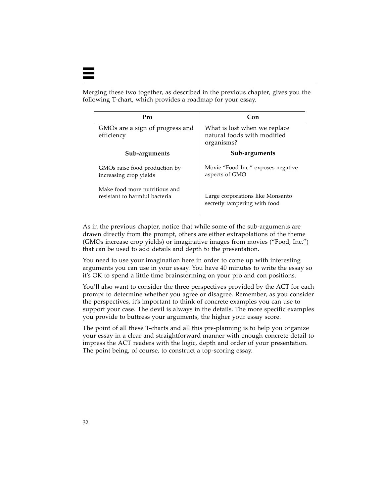Merging these two together, as described in the previous chapter, gives you the following T‐chart, which provides a roadmap for your essay.

| Pro                                                            | Con                                                                       |
|----------------------------------------------------------------|---------------------------------------------------------------------------|
| GMOs are a sign of progress and<br>efficiency                  | What is lost when we replace<br>natural foods with modified<br>organisms? |
| Sub-arguments                                                  | Sub-arguments                                                             |
| GMOs raise food production by<br>increasing crop yields        | Movie "Food Inc." exposes negative<br>aspects of GMO                      |
| Make food more nutritious and<br>resistant to harmful bacteria | Large corporations like Monsanto<br>secretly tampering with food          |

As in the previous chapter, notice that while some of the sub-arguments are drawn directly from the prompt, others are either extrapolations of the theme (GMOs increase crop yields) or imaginative images from movies ("Food, Inc.") that can be used to add details and depth to the presentation.

You need to use your imagination here in order to come up with interesting arguments you can use in your essay. You have 40 minutes to write the essay so it's OK to spend a little time brainstorming on your pro and con positions.

You'll also want to consider the three perspectives provided by the ACT for each prompt to determine whether you agree or disagree. Remember, as you consider the perspectives, it's important to think of concrete examples you can use to support your case. The devil is always in the details. The more specific examples you provide to buttress your arguments, the higher your essay score.

The point of all these T-charts and all this pre-planning is to help you organize your essay in a clear and straightforward manner with enough concrete detail to impress the ACT readers with the logic, depth and order of your presentation. The point being, of course, to construct a top‐scoring essay.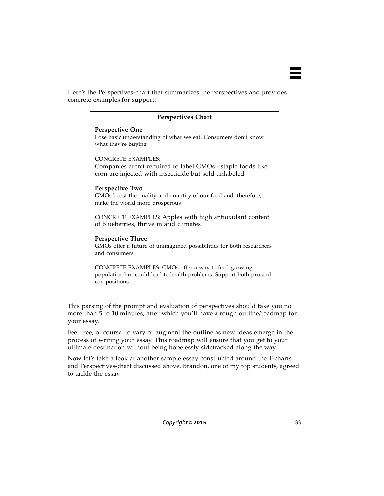Here's the Perspectives-chart that summarizes the perspectives and provides concrete examples for support:

| <b>Perspectives Chart</b>                                                                                                                         |  |  |
|---------------------------------------------------------------------------------------------------------------------------------------------------|--|--|
| <b>Perspective One</b><br>Lose basic understanding of what we eat. Consumers don't know<br>what they're buying                                    |  |  |
| <b>CONCRETE EXAMPLES:</b><br>Companies aren't required to label GMOs - staple foods like<br>corn are injected with insecticide but sold unlabeled |  |  |
| Perspective Two<br>GMOs boost the quality and quantity of our food and, therefore,<br>make the world more prosperous                              |  |  |
| CONCRETE EXAMPLES: Apples with high antioxidant content<br>of blueberries, thrive in arid climates                                                |  |  |
| <b>Perspective Three</b><br>GMOs offer a future of unimagined possibilities for both researchers<br>and consumers                                 |  |  |
| CONCRETE EXAMPLES: GMOs offer a way to feed growing<br>population but could lead to health problems. Support both pro and<br>con positions.       |  |  |
|                                                                                                                                                   |  |  |

This parsing of the prompt and evaluation of perspectives should take you no more than 5 to 10 minutes, after which you'll have a rough outline/roadmap for your essay.

Feel free, of course, to vary or augment the outline as new ideas emerge in the process of writing your essay. This roadmap will ensure that you get to your ultimate destination without being hopelessly sidetracked along the way.

Now let's take a look at another sample essay constructed around the T‐charts and Perspectives‐chart discussed above. Brandon, one of my top students, agreed to tackle the essay.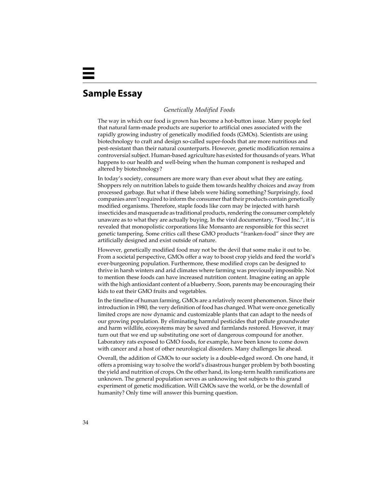#### *Genetically Modified Foods*

The way in which our food is grown has become a hot-button issue. Many people feel that natural farm‐made products are superior to artificial ones associated with the rapidly growing industry of genetically modified foods (GMOs). Scientists are using biotechnology to craft and design so‐called super‐foods that are more nutritious and pest-resistant than their natural counterparts. However, genetic modification remains a controversial subject. Human-based agriculture has existed for thousands of years. What happens to our health and well-being when the human component is reshaped and altered by biotechnology?

In today's society, consumers are more wary than ever about what they are eating. Shoppers rely on nutrition labels to guide them towards healthy choices and away from processed garbage. But what if these labels were hiding something? Surprisingly, food companies aren't required to inform the consumer that their products contain genetically modified organisms. Therefore, staple foods like corn may be injected with harsh insecticides and masquerade as traditional products, rendering the consumer completely unaware as to what they are actually buying. In the viral documentary, "Food Inc.", it is revealed that monopolistic corporations like Monsanto are responsible for this secret genetic tampering. Some critics call these GMO products "franken‐food" since they are artificially designed and exist outside of nature.

However, genetically modified food may not be the devil that some make it out to be. From a societal perspective, GMOs offer a way to boost crop yields and feed the world's ever-burgeoning population. Furthermore, these modified crops can be designed to thrive in harsh winters and arid climates where farming was previously impossible. Not to mention these foods can have increased nutrition content. Imagine eating an apple with the high antioxidant content of a blueberry. Soon, parents may be encouraging their kids to eat their GMO fruits and vegetables.

In the timeline of human farming, GMOs are a relatively recent phenomenon. Since their introduction in 1980, the very definition of food has changed. What were once genetically limited crops are now dynamic and customizable plants that can adapt to the needs of our growing population. By eliminating harmful pesticides that pollute groundwater and harm wildlife, ecosystems may be saved and farmlands restored. However, it may turn out that we end up substituting one sort of dangerous compound for another. Laboratory rats exposed to GMO foods, for example, have been know to come down with cancer and a host of other neurological disorders. Many challenges lie ahead.

Overall, the addition of GMOs to our society is a double‐edged sword. On one hand, it offers a promising way to solve the world's disastrous hunger problem by both boosting the yield and nutrition of crops. On the other hand, its long-term health ramifications are unknown. The general population serves as unknowing test subjects to this grand experiment of genetic modification. Will GMOs save the world, or be the downfall of humanity? Only time will answer this burning question.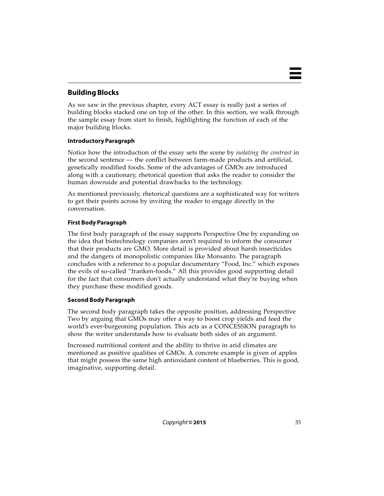## **Building Blocks**

As we saw in the previous chapter, every ACT essay is really just a series of building blocks stacked one on top of the other. In this section, we walk through the sample essay from start to finish, highlighting the function of each of the major building blocks.

### **Introductory Paragraph**

Notice how the introduction of the essay sets the scene by *isolating the contrast* in the second sentence ― the conflict between farm‐made products and artificial, genetically modified foods. Some of the advantages of GMOs are introduced along with a cautionary, rhetorical question that asks the reader to consider the human downside and potential drawbacks to the technology.

As mentioned previously, rhetorical questions are a sophisticated way for writers to get their points across by inviting the reader to engage directly in the conversation.

### **First Body Paragraph**

The first body paragraph of the essay supports Perspective One by expanding on the idea that biotechnology companies aren't required to inform the consumer that their products are GMO. More detail is provided about harsh insecticides and the dangers of monopolistic companies like Monsanto. The paragraph concludes with a reference to a popular documentary "Food, Inc." which exposes the evils of so-called "franken-foods." All this provides good supporting detail for the fact that consumers don't actually understand what they're buying when they purchase these modified goods.

### **Second Body Paragraph**

The second body paragraph takes the opposite position, addressing Perspective Two by arguing that GMOs may offer a way to boost crop yields and feed the world's ever-burgeoning population. This acts as a CONCESSION paragraph to show the writer understands how to evaluate both sides of an argument.

Increased nutritional content and the ability to thrive in arid climates are mentioned as positive qualities of GMOs. A concrete example is given of apples that might possess the same high antioxidant content of blueberries. This is good, imaginative, supporting detail.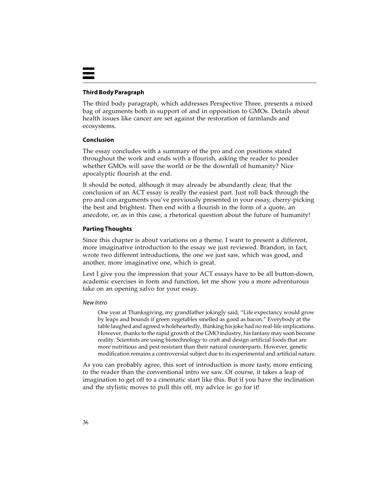

#### **Third Body Paragraph**

The third body paragraph, which addresses Perspective Three, presents a mixed bag of arguments both in support of and in opposition to GMOs. Details about health issues like cancer are set against the restoration of farmlands and ecosystems.

#### **Conclusion**

The essay concludes with a summary of the pro and con positions stated throughout the work and ends with a flourish, asking the reader to ponder whether GMOs will save the world or be the downfall of humanity? Nice apocalyptic flourish at the end.

It should be noted, although it may already be abundantly clear, that the conclusion of an ACT essay is really the easiest part. Just roll back through the pro and con arguments you've previously presented in your essay, cherry-picking the best and brightest. Then end with a flourish in the form of a quote, an anecdote, or, as in this case, a rhetorical question about the future of humanity!

#### **Parting Thoughts**

Since this chapter is about variations on a theme, I want to present a different, more imaginative introduction to the essay we just reviewed. Brandon, in fact, wrote two different introductions, the one we just saw, which was good, and another, more imaginative one, which is great.

Lest I give you the impression that your ACT essays have to be all button-down, academic exercises in form and function, let me show you a more adventurous take on an opening salvo for your essay.

#### New Intro

One year at Thanksgiving, my grandfather jokingly said, "Life expectancy would grow by leaps and bounds if green vegetables smelled as good as bacon." Everybody at the table laughed and agreed wholeheartedly, thinking his joke had no real-life implications. However, thanks to the rapid growth of the GMO industry, his fantasy may soon become reality. Scientists are using biotechnology to craft and design artificial foods that are more nutritious and pest-resistant than their natural counterparts. However, genetic modification remains a controversial subject due to its experimental and artificial nature.

As you can probably agree, this sort of introduction is more tasty, more enticing to the reader than the conventional intro we saw. Of course, it takes a leap of imagination to get off to a cinematic start like this. But if you have the inclination and the stylistic moves to pull this off, my advice is: go for it!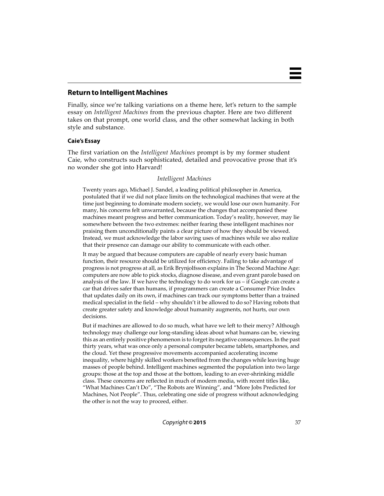### **Return to Intelligent Machines**

Finally, since we're talking variations on a theme here, let's return to the sample essay on *Intelligent Machines* from the previous chapter. Here are two different takes on that prompt, one world class, and the other somewhat lacking in both style and substance.

#### **Caie's Essay**

The first variation on the *Intelligent Machines* prompt is by my former student Caie, who constructs such sophisticated, detailed and provocative prose that it's no wonder she got into Harvard!

#### *Intelligent Machines*

Twenty years ago, Michael J. Sandel, a leading political philosopher in America, postulated that if we did not place limits on the technological machines that were at the time just beginning to dominate modern society, we would lose our own humanity. For many, his concerns felt unwarranted, because the changes that accompanied these machines meant progress and better communication. Today's reality, however, may lie somewhere between the two extremes: neither fearing these intelligent machines nor praising them unconditionally paints a clear picture of how they should be viewed. Instead, we must acknowledge the labor saving uses of machines while we also realize that their presence can damage our ability to communicate with each other.

It may be argued that because computers are capable of nearly every basic human function, their resource should be utilized for efficiency. Failing to take advantage of progress is not progress at all, as Erik Brynjolfsson explains in The Second Machine Age: computers are now able to pick stocks, diagnose disease, and even grant parole based on analysis of the law. If we have the technology to do work for us – if Google can create a car that drives safer than humans, if programmers can create a Consumer Price Index that updates daily on its own, if machines can track our symptoms better than a trained medical specialist in the field – why shouldn't it be allowed to do so? Having robots that create greater safety and knowledge about humanity augments, not hurts, our own decisions.

But if machines are allowed to do so much, what have we left to their mercy? Although technology may challenge our long‐standing ideas about what humans can be, viewing this as an entirely positive phenomenon is to forget its negative consequences. In the past thirty years, what was once only a personal computer became tablets, smartphones, and the cloud. Yet these progressive movements accompanied accelerating income inequality, where highly skilled workers benefited from the changes while leaving huge masses of people behind. Intelligent machines segmented the population into two large groups: those at the top and those at the bottom, leading to an ever‐shrinking middle class. These concerns are reflected in much of modern media, with recent titles like, "What Machines Can't Do", "The Robots are Winning", and "More Jobs Predicted for Machines, Not People". Thus, celebrating one side of progress without acknowledging the other is not the way to proceed, either.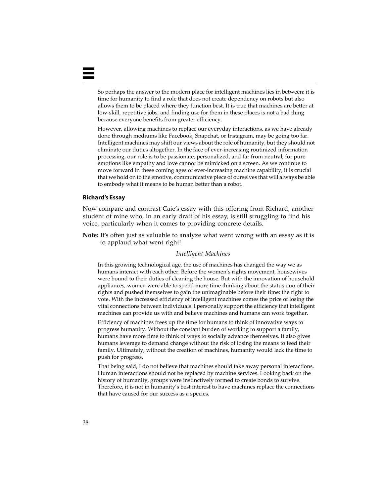So perhaps the answer to the modern place for intelligent machines lies in between: it is time for humanity to find a role that does not create dependency on robots but also allows them to be placed where they function best. It is true that machines are better at low‐skill, repetitive jobs, and finding use for them in these places is not a bad thing because everyone benefits from greater efficiency.

However, allowing machines to replace our everyday interactions, as we have already done through mediums like Facebook, Snapchat, or Instagram, may be going too far. Intelligent machines may shift our views about the role of humanity, but they should not eliminate our duties altogether. In the face of ever-increasing routinized information processing, our role is to be passionate, personalized, and far from neutral, for pure emotions like empathy and love cannot be mimicked on a screen. As we continue to move forward in these coming ages of ever-increasing machine capability, it is crucial that we hold on to the emotive, communicative piece of ourselves that will always be able to embody what it means to be human better than a robot.

#### **Richard's Essay**

Now compare and contrast Caie's essay with this offering from Richard, another student of mine who, in an early draft of his essay, is still struggling to find his voice, particularly when it comes to providing concrete details.

**Note:** It's often just as valuable to analyze what went wrong with an essay as it is to applaud what went right!

#### *Intelligent Machines*

In this growing technological age, the use of machines has changed the way we as humans interact with each other. Before the women's rights movement, housewives were bound to their duties of cleaning the house. But with the innovation of household appliances, women were able to spend more time thinking about the status quo of their rights and pushed themselves to gain the unimaginable before their time: the right to vote. With the increased efficiency of intelligent machines comes the price of losing the vital connections between individuals. I personally support the efficiency that intelligent machines can provide us with and believe machines and humans can work together.

Efficiency of machines frees up the time for humans to think of innovative ways to progress humanity. Without the constant burden of working to support a family, humans have more time to think of ways to socially advance themselves. It also gives humans leverage to demand change without the risk of losing the means to feed their family. Ultimately, without the creation of machines, humanity would lack the time to push for progress.

That being said, I do not believe that machines should take away personal interactions. Human interactions should not be replaced by machine services. Looking back on the history of humanity, groups were instinctively formed to create bonds to survive. Therefore, it is not in humanity's best interest to have machines replace the connections that have caused for our success as a species.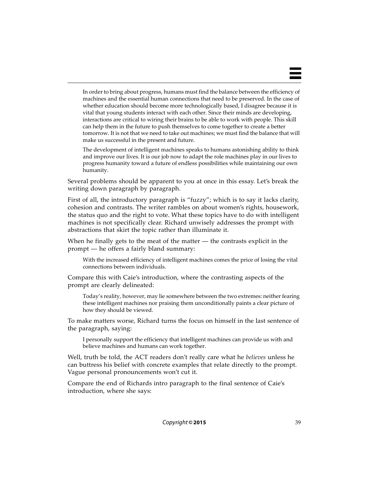In order to bring about progress, humans must find the balance between the efficiency of machines and the essential human connections that need to be preserved. In the case of whether education should become more technologically based, I disagree because it is vital that young students interact with each other. Since their minds are developing, interactions are critical to wiring their brains to be able to work with people. This skill can help them in the future to push themselves to come together to create a better tomorrow. It is not that we need to take out machines; we must find the balance that will make us successful in the present and future.

The development of intelligent machines speaks to humans astonishing ability to think and improve our lives. It is our job now to adapt the role machines play in our lives to progress humanity toward a future of endless possibilities while maintaining our own humanity.

Several problems should be apparent to you at once in this essay. Let's break the writing down paragraph by paragraph.

First of all, the introductory paragraph is "fuzzy"; which is to say it lacks clarity, cohesion and contrasts. The writer rambles on about women's rights, housework, the status quo and the right to vote. What these topics have to do with intelligent machines is not specifically clear. Richard unwisely addresses the prompt with abstractions that skirt the topic rather than illuminate it.

When he finally gets to the meat of the matter — the contrasts explicit in the prompt ― he offers a fairly bland summary:

With the increased efficiency of intelligent machines comes the price of losing the vital connections between individuals.

Compare this with Caie's introduction, where the contrasting aspects of the prompt are clearly delineated:

Today's reality, however, may lie somewhere between the two extremes: neither fearing these intelligent machines nor praising them unconditionally paints a clear picture of how they should be viewed.

To make matters worse, Richard turns the focus on himself in the last sentence of the paragraph, saying:

I personally support the efficiency that intelligent machines can provide us with and believe machines and humans can work together.

Well, truth be told, the ACT readers don't really care what he *believes* unless he can buttress his belief with concrete examples that relate directly to the prompt. Vague personal pronouncements won't cut it.

Compare the end of Richards intro paragraph to the final sentence of Caie's introduction, where she says:

Copyright **© 2015** 39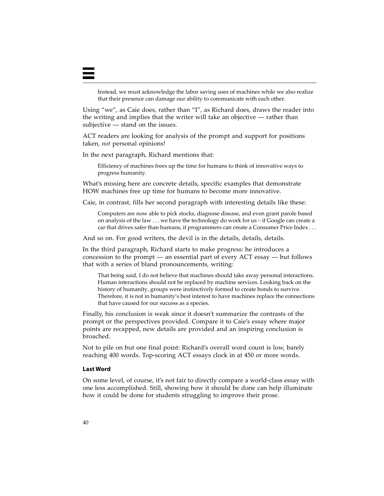Instead, we must acknowledge the labor saving uses of machines while we also realize that their presence can damage our ability to communicate with each other.

Using "we", as Caie does, rather than "I", as Richard does, draws the reader into the writing and implies that the writer will take an objective ― rather than subjective ― stand on the issues.

ACT readers are looking for analysis of the prompt and support for positions taken, *not* personal opinions!

In the next paragraph, Richard mentions that:

Efficiency of machines frees up the time for humans to think of innovative ways to progress humanity.

What's missing here are concrete details, specific examples that demonstrate HOW machines free up time for humans to become more innovative.

Caie, in contrast, fills her second paragraph with interesting details like these:

Computers are now able to pick stocks, diagnose disease, and even grant parole based on analysis of the law . . . we have the technology do work for us – if Google can create a car that drives safer than humans, if programmers can create a Consumer Price Index . . .

And so on. For good writers, the devil is in the details, details, details.

In the third paragraph, Richard starts to make progress: he introduces a concession to the prompt — an essential part of every  $ACT$  essay — but follows that with a series of bland pronouncements, writing:

That being said, I do not believe that machines should take away personal interactions. Human interactions should not be replaced by machine services. Looking back on the history of humanity, groups were instinctively formed to create bonds to survive. Therefore, it is not in humanity's best interest to have machines replace the connections that have caused for our success as a species.

Finally, his conclusion is weak since it doesn't summarize the contrasts of the prompt or the perspectives provided. Compare it to Caie's essay where major points are recapped, new details are provided and an inspiring conclusion is broached.

Not to pile on but one final point: Richard's overall word count is low, barely reaching 400 words. Top‐scoring ACT essays clock in at 450 or more words.

#### **Last Word**

On some level, of course, it's not fair to directly compare a world‐class essay with one less accomplished. Still, showing how it should be done can help illuminate how it could be done for students struggling to improve their prose.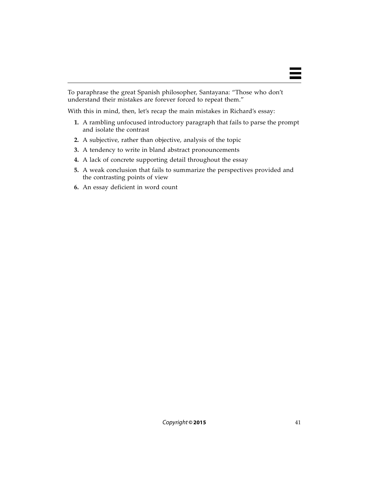To paraphrase the great Spanish philosopher, Santayana: "Those who don't understand their mistakes are forever forced to repeat them."

With this in mind, then, let's recap the main mistakes in Richard's essay:

- **1.** A rambling unfocused introductory paragraph that fails to parse the prompt and isolate the contrast
- **2.** A subjective, rather than objective, analysis of the topic
- **3.** A tendency to write in bland abstract pronouncements
- **4.** A lack of concrete supporting detail throughout the essay
- **5.** A weak conclusion that fails to summarize the perspectives provided and the contrasting points of view
- **6.** An essay deficient in word count